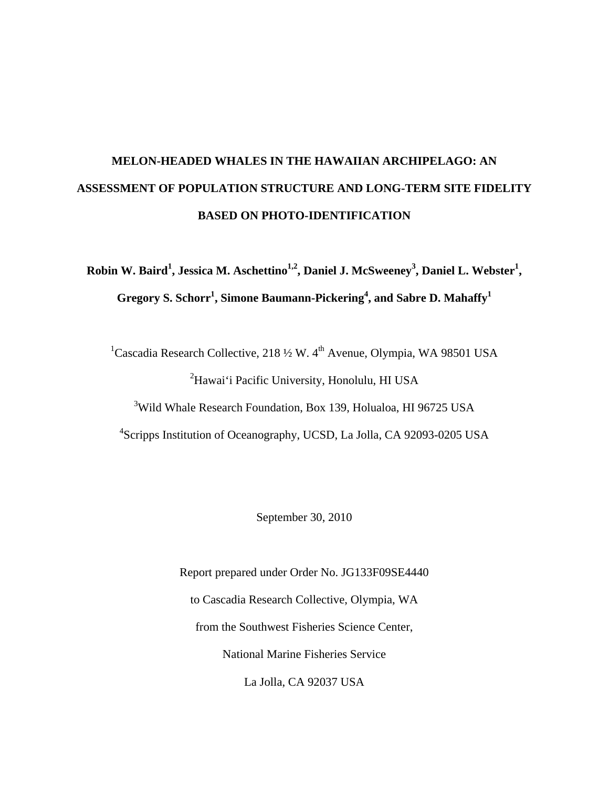# **MELON-HEADED WHALES IN THE HAWAIIAN ARCHIPELAGO: AN ASSESSMENT OF POPULATION STRUCTURE AND LONG-TERM SITE FIDELITY BASED ON PHOTO-IDENTIFICATION**

**Robin W. Baird<sup>1</sup> , Jessica M. Aschettino1,2, Daniel J. McSweeney3 , Daniel L. Webster<sup>1</sup> , Gregory S. Schorr<sup>1</sup> , Simone Baumann-Pickering<sup>4</sup> , and Sabre D. Mahaffy1**

<sup>1</sup>Cascadia Research Collective, 218  $\frac{1}{2}$  W. 4<sup>th</sup> Avenue, Olympia, WA 98501 USA <sup>2</sup>Hawai'i Pacific University, Honolulu, HI USA

<sup>3</sup>Wild Whale Research Foundation, Box 139, Holualoa, HI 96725 USA

4 Scripps Institution of Oceanography, UCSD, La Jolla, CA 92093-0205 USA

September 30, 2010

Report prepared under Order No. JG133F09SE4440 to Cascadia Research Collective, Olympia, WA from the Southwest Fisheries Science Center, National Marine Fisheries Service La Jolla, CA 92037 USA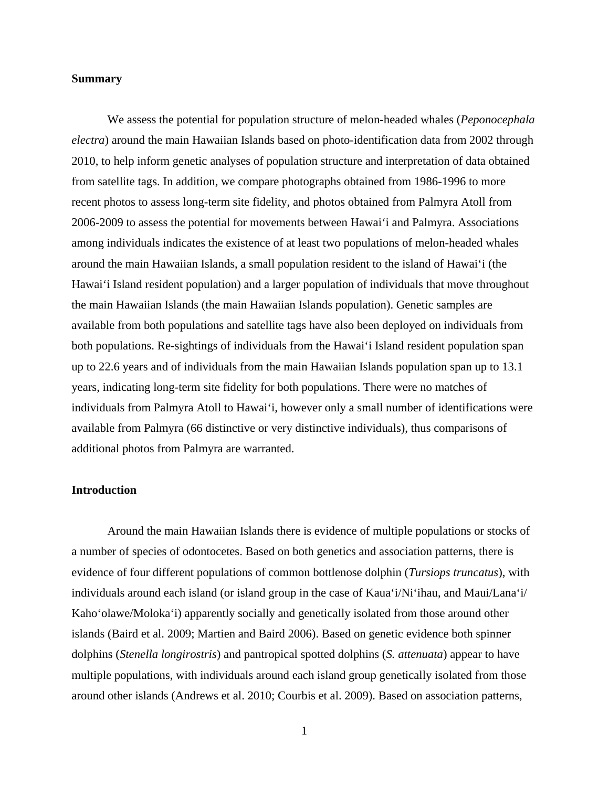## **Summary**

We assess the potential for population structure of melon-headed whales (*Peponocephala electra*) around the main Hawaiian Islands based on photo-identification data from 2002 through 2010, to help inform genetic analyses of population structure and interpretation of data obtained from satellite tags. In addition, we compare photographs obtained from 1986-1996 to more recent photos to assess long-term site fidelity, and photos obtained from Palmyra Atoll from 2006-2009 to assess the potential for movements between Hawai'i and Palmyra. Associations among individuals indicates the existence of at least two populations of melon-headed whales around the main Hawaiian Islands, a small population resident to the island of Hawai'i (the Hawai'i Island resident population) and a larger population of individuals that move throughout the main Hawaiian Islands (the main Hawaiian Islands population). Genetic samples are available from both populations and satellite tags have also been deployed on individuals from both populations. Re-sightings of individuals from the Hawai'i Island resident population span up to 22.6 years and of individuals from the main Hawaiian Islands population span up to 13.1 years, indicating long-term site fidelity for both populations. There were no matches of individuals from Palmyra Atoll to Hawai'i, however only a small number of identifications were available from Palmyra (66 distinctive or very distinctive individuals), thus comparisons of additional photos from Palmyra are warranted.

## **Introduction**

Around the main Hawaiian Islands there is evidence of multiple populations or stocks of a number of species of odontocetes. Based on both genetics and association patterns, there is evidence of four different populations of common bottlenose dolphin (*Tursiops truncatus*), with individuals around each island (or island group in the case of Kaua'i/Ni'ihau, and Maui/Lana'i/ Kaho'olawe/Moloka'i) apparently socially and genetically isolated from those around other islands (Baird et al. 2009; Martien and Baird 2006). Based on genetic evidence both spinner dolphins (*Stenella longirostris*) and pantropical spotted dolphins (*S. attenuata*) appear to have multiple populations, with individuals around each island group genetically isolated from those around other islands (Andrews et al. 2010; Courbis et al. 2009). Based on association patterns,

1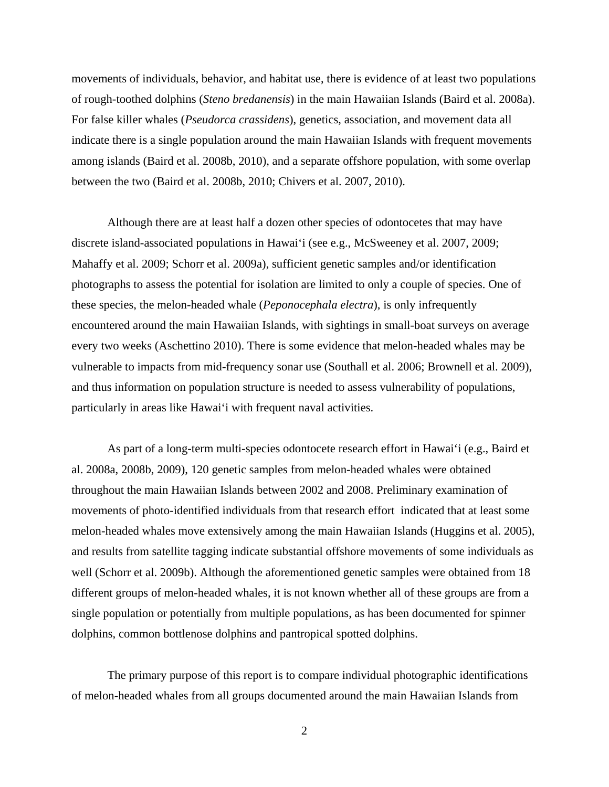movements of individuals, behavior, and habitat use, there is evidence of at least two populations of rough-toothed dolphins (*Steno bredanensis*) in the main Hawaiian Islands (Baird et al. 2008a). For false killer whales (*Pseudorca crassidens*), genetics, association, and movement data all indicate there is a single population around the main Hawaiian Islands with frequent movements among islands (Baird et al. 2008b, 2010), and a separate offshore population, with some overlap between the two (Baird et al. 2008b, 2010; Chivers et al. 2007, 2010).

Although there are at least half a dozen other species of odontocetes that may have discrete island-associated populations in Hawai'i (see e.g., McSweeney et al. 2007, 2009; Mahaffy et al. 2009; Schorr et al. 2009a), sufficient genetic samples and/or identification photographs to assess the potential for isolation are limited to only a couple of species. One of these species, the melon-headed whale (*Peponocephala electra*), is only infrequently encountered around the main Hawaiian Islands, with sightings in small-boat surveys on average every two weeks (Aschettino 2010). There is some evidence that melon-headed whales may be vulnerable to impacts from mid-frequency sonar use (Southall et al. 2006; Brownell et al. 2009), and thus information on population structure is needed to assess vulnerability of populations, particularly in areas like Hawai'i with frequent naval activities.

As part of a long-term multi-species odontocete research effort in Hawai'i (e.g., Baird et al. 2008a, 2008b, 2009), 120 genetic samples from melon-headed whales were obtained throughout the main Hawaiian Islands between 2002 and 2008. Preliminary examination of movements of photo-identified individuals from that research effort indicated that at least some melon-headed whales move extensively among the main Hawaiian Islands (Huggins et al. 2005), and results from satellite tagging indicate substantial offshore movements of some individuals as well (Schorr et al. 2009b). Although the aforementioned genetic samples were obtained from 18 different groups of melon-headed whales, it is not known whether all of these groups are from a single population or potentially from multiple populations, as has been documented for spinner dolphins, common bottlenose dolphins and pantropical spotted dolphins.

The primary purpose of this report is to compare individual photographic identifications of melon-headed whales from all groups documented around the main Hawaiian Islands from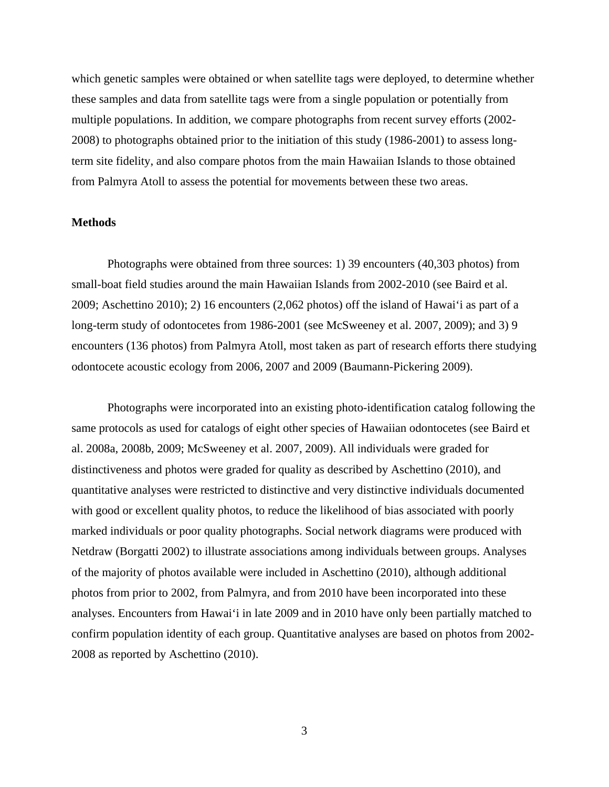which genetic samples were obtained or when satellite tags were deployed, to determine whether these samples and data from satellite tags were from a single population or potentially from multiple populations. In addition, we compare photographs from recent survey efforts (2002- 2008) to photographs obtained prior to the initiation of this study (1986-2001) to assess longterm site fidelity, and also compare photos from the main Hawaiian Islands to those obtained from Palmyra Atoll to assess the potential for movements between these two areas.

## **Methods**

Photographs were obtained from three sources: 1) 39 encounters (40,303 photos) from small-boat field studies around the main Hawaiian Islands from 2002-2010 (see Baird et al. 2009; Aschettino 2010); 2) 16 encounters (2,062 photos) off the island of Hawai'i as part of a long-term study of odontocetes from 1986-2001 (see McSweeney et al. 2007, 2009); and 3) 9 encounters (136 photos) from Palmyra Atoll, most taken as part of research efforts there studying odontocete acoustic ecology from 2006, 2007 and 2009 (Baumann-Pickering 2009).

Photographs were incorporated into an existing photo-identification catalog following the same protocols as used for catalogs of eight other species of Hawaiian odontocetes (see Baird et al. 2008a, 2008b, 2009; McSweeney et al. 2007, 2009). All individuals were graded for distinctiveness and photos were graded for quality as described by Aschettino (2010), and quantitative analyses were restricted to distinctive and very distinctive individuals documented with good or excellent quality photos, to reduce the likelihood of bias associated with poorly marked individuals or poor quality photographs. Social network diagrams were produced with Netdraw (Borgatti 2002) to illustrate associations among individuals between groups. Analyses of the majority of photos available were included in Aschettino (2010), although additional photos from prior to 2002, from Palmyra, and from 2010 have been incorporated into these analyses. Encounters from Hawai'i in late 2009 and in 2010 have only been partially matched to confirm population identity of each group. Quantitative analyses are based on photos from 2002- 2008 as reported by Aschettino (2010).

3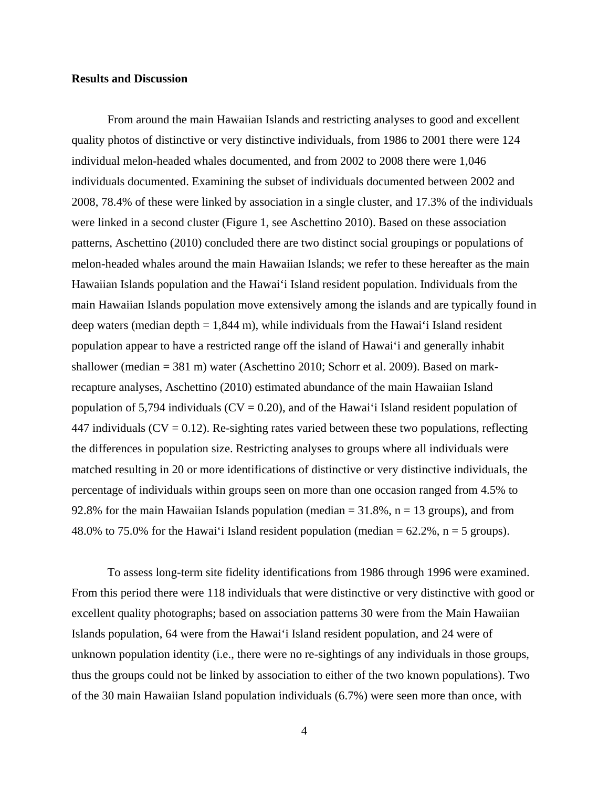## **Results and Discussion**

From around the main Hawaiian Islands and restricting analyses to good and excellent quality photos of distinctive or very distinctive individuals, from 1986 to 2001 there were 124 individual melon-headed whales documented, and from 2002 to 2008 there were 1,046 individuals documented. Examining the subset of individuals documented between 2002 and 2008, 78.4% of these were linked by association in a single cluster, and 17.3% of the individuals were linked in a second cluster (Figure 1, see Aschettino 2010). Based on these association patterns, Aschettino (2010) concluded there are two distinct social groupings or populations of melon-headed whales around the main Hawaiian Islands; we refer to these hereafter as the main Hawaiian Islands population and the Hawai'i Island resident population. Individuals from the main Hawaiian Islands population move extensively among the islands and are typically found in deep waters (median depth  $= 1,844$  m), while individuals from the Hawai'i Island resident population appear to have a restricted range off the island of Hawai'i and generally inhabit shallower (median = 381 m) water (Aschettino 2010; Schorr et al. 2009). Based on markrecapture analyses, Aschettino (2010) estimated abundance of the main Hawaiian Island population of 5,794 individuals ( $CV = 0.20$ ), and of the Hawai'i Island resident population of 447 individuals ( $CV = 0.12$ ). Re-sighting rates varied between these two populations, reflecting the differences in population size. Restricting analyses to groups where all individuals were matched resulting in 20 or more identifications of distinctive or very distinctive individuals, the percentage of individuals within groups seen on more than one occasion ranged from 4.5% to 92.8% for the main Hawaiian Islands population (median  $= 31.8\%$ , n  $= 13$  groups), and from 48.0% to 75.0% for the Hawai'i Island resident population (median  $= 62.2\%$ , n = 5 groups).

To assess long-term site fidelity identifications from 1986 through 1996 were examined. From this period there were 118 individuals that were distinctive or very distinctive with good or excellent quality photographs; based on association patterns 30 were from the Main Hawaiian Islands population, 64 were from the Hawai'i Island resident population, and 24 were of unknown population identity (i.e., there were no re-sightings of any individuals in those groups, thus the groups could not be linked by association to either of the two known populations). Two of the 30 main Hawaiian Island population individuals (6.7%) were seen more than once, with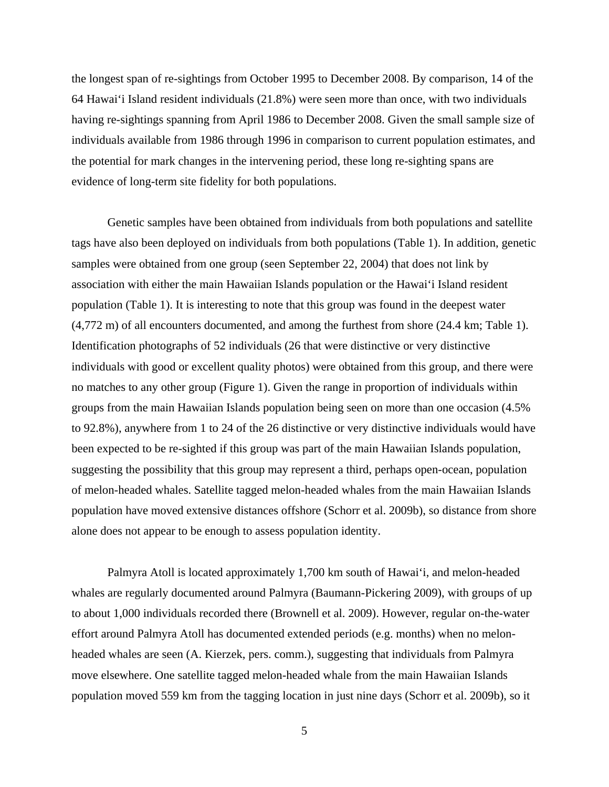the longest span of re-sightings from October 1995 to December 2008. By comparison, 14 of the 64 Hawai'i Island resident individuals (21.8%) were seen more than once, with two individuals having re-sightings spanning from April 1986 to December 2008. Given the small sample size of individuals available from 1986 through 1996 in comparison to current population estimates, and the potential for mark changes in the intervening period, these long re-sighting spans are evidence of long-term site fidelity for both populations.

Genetic samples have been obtained from individuals from both populations and satellite tags have also been deployed on individuals from both populations (Table 1). In addition, genetic samples were obtained from one group (seen September 22, 2004) that does not link by association with either the main Hawaiian Islands population or the Hawai'i Island resident population (Table 1). It is interesting to note that this group was found in the deepest water (4,772 m) of all encounters documented, and among the furthest from shore (24.4 km; Table 1). Identification photographs of 52 individuals (26 that were distinctive or very distinctive individuals with good or excellent quality photos) were obtained from this group, and there were no matches to any other group (Figure 1). Given the range in proportion of individuals within groups from the main Hawaiian Islands population being seen on more than one occasion (4.5% to 92.8%), anywhere from 1 to 24 of the 26 distinctive or very distinctive individuals would have been expected to be re-sighted if this group was part of the main Hawaiian Islands population, suggesting the possibility that this group may represent a third, perhaps open-ocean, population of melon-headed whales. Satellite tagged melon-headed whales from the main Hawaiian Islands population have moved extensive distances offshore (Schorr et al. 2009b), so distance from shore alone does not appear to be enough to assess population identity.

Palmyra Atoll is located approximately 1,700 km south of Hawai'i, and melon-headed whales are regularly documented around Palmyra (Baumann-Pickering 2009), with groups of up to about 1,000 individuals recorded there (Brownell et al. 2009). However, regular on-the-water effort around Palmyra Atoll has documented extended periods (e.g. months) when no melonheaded whales are seen (A. Kierzek, pers. comm.), suggesting that individuals from Palmyra move elsewhere. One satellite tagged melon-headed whale from the main Hawaiian Islands population moved 559 km from the tagging location in just nine days (Schorr et al. 2009b), so it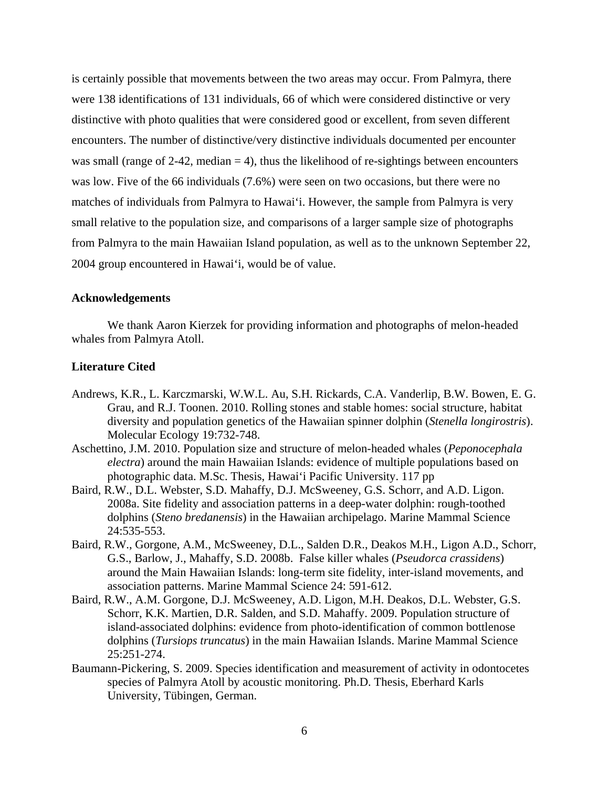is certainly possible that movements between the two areas may occur. From Palmyra, there were 138 identifications of 131 individuals, 66 of which were considered distinctive or very distinctive with photo qualities that were considered good or excellent, from seven different encounters. The number of distinctive/very distinctive individuals documented per encounter was small (range of 2-42, median  $=$  4), thus the likelihood of re-sightings between encounters was low. Five of the 66 individuals (7.6%) were seen on two occasions, but there were no matches of individuals from Palmyra to Hawai'i. However, the sample from Palmyra is very small relative to the population size, and comparisons of a larger sample size of photographs from Palmyra to the main Hawaiian Island population, as well as to the unknown September 22, 2004 group encountered in Hawai'i, would be of value.

## **Acknowledgements**

We thank Aaron Kierzek for providing information and photographs of melon-headed whales from Palmyra Atoll.

## **Literature Cited**

- Andrews, K.R., L. Karczmarski, W.W.L. Au, S.H. Rickards, C.A. Vanderlip, B.W. Bowen, E. G. Grau, and R.J. Toonen. 2010. Rolling stones and stable homes: social structure, habitat diversity and population genetics of the Hawaiian spinner dolphin (*Stenella longirostris*). Molecular Ecology 19:732-748.
- Aschettino, J.M. 2010. Population size and structure of melon-headed whales (*Peponocephala electra*) around the main Hawaiian Islands: evidence of multiple populations based on photographic data. M.Sc. Thesis, Hawai'i Pacific University. 117 pp
- Baird, R.W., D.L. Webster, S.D. Mahaffy, D.J. McSweeney, G.S. Schorr, and A.D. Ligon. 2008a. Site fidelity and association patterns in a deep-water dolphin: rough-toothed dolphins (*Steno bredanensis*) in the Hawaiian archipelago. Marine Mammal Science 24:535-553.
- Baird, R.W., Gorgone, A.M., McSweeney, D.L., Salden D.R., Deakos M.H., Ligon A.D., Schorr, G.S., Barlow, J., Mahaffy, S.D. 2008b. False killer whales (*Pseudorca crassidens*) around the Main Hawaiian Islands: long-term site fidelity, inter-island movements, and association patterns. Marine Mammal Science 24: 591-612.
- Baird, R.W., A.M. Gorgone, D.J. McSweeney, A.D. Ligon, M.H. Deakos, D.L. Webster, G.S. Schorr, K.K. Martien, D.R. Salden, and S.D. Mahaffy. 2009. Population structure of island-associated dolphins: evidence from photo-identification of common bottlenose dolphins (*Tursiops truncatus*) in the main Hawaiian Islands. Marine Mammal Science 25:251-274.
- Baumann-Pickering, S. 2009. Species identification and measurement of activity in odontocetes species of Palmyra Atoll by acoustic monitoring. Ph.D. Thesis, Eberhard Karls University, Tübingen, German.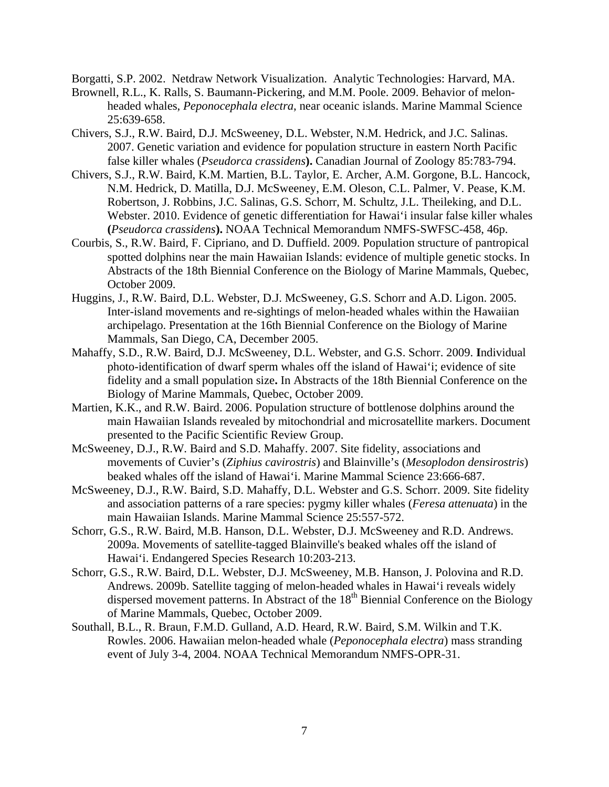Borgatti, S.P. 2002. Netdraw Network Visualization. Analytic Technologies: Harvard, MA.

- Brownell, R.L., K. Ralls, S. Baumann-Pickering, and M.M. Poole. 2009. Behavior of melonheaded whales, *Peponocephala electra*, near oceanic islands. Marine Mammal Science 25:639-658.
- Chivers, S.J., R.W. Baird, D.J. McSweeney, D.L. Webster, N.M. Hedrick, and J.C. Salinas. 2007. Genetic variation and evidence for population structure in eastern North Pacific false killer whales (*Pseudorca crassidens***).** Canadian Journal of Zoology 85:783-794.
- Chivers, S.J., R.W. Baird, K.M. Martien, B.L. Taylor, E. Archer, A.M. Gorgone, B.L. Hancock, N.M. Hedrick, D. Matilla, D.J. McSweeney, E.M. Oleson, C.L. Palmer, V. Pease, K.M. Robertson, J. Robbins, J.C. Salinas, G.S. Schorr, M. Schultz, J.L. Theileking, and D.L. Webster. 2010. Evidence of genetic differentiation for Hawai'i insular false killer whales **(***Pseudorca crassidens***).** NOAA Technical Memorandum NMFS-SWFSC-458, 46p.
- Courbis, S., R.W. Baird, F. Cipriano, and D. Duffield. 2009. Population structure of pantropical spotted dolphins near the main Hawaiian Islands: evidence of multiple genetic stocks. In Abstracts of the 18th Biennial Conference on the Biology of Marine Mammals, Quebec, October 2009.
- Huggins, J., R.W. Baird, D.L. Webster, D.J. McSweeney, G.S. Schorr and A.D. Ligon. 2005. Inter-island movements and re-sightings of melon-headed whales within the Hawaiian archipelago. Presentation at the 16th Biennial Conference on the Biology of Marine Mammals, San Diego, CA, December 2005.
- Mahaffy, S.D., R.W. Baird, D.J. McSweeney, D.L. Webster, and G.S. Schorr. 2009. **I**ndividual photo-identification of dwarf sperm whales off the island of Hawai'i; evidence of site fidelity and a small population size**.** In Abstracts of the 18th Biennial Conference on the Biology of Marine Mammals, Quebec, October 2009.
- Martien, K.K., and R.W. Baird. 2006. Population structure of bottlenose dolphins around the main Hawaiian Islands revealed by mitochondrial and microsatellite markers. Document presented to the Pacific Scientific Review Group.
- McSweeney, D.J., R.W. Baird and S.D. Mahaffy. 2007. Site fidelity, associations and movements of Cuvier's (*Ziphius cavirostris*) and Blainville's (*Mesoplodon densirostris*) beaked whales off the island of Hawai'i. Marine Mammal Science 23:666-687.
- McSweeney, D.J., R.W. Baird, S.D. Mahaffy, D.L. Webster and G.S. Schorr. 2009. Site fidelity and association patterns of a rare species: pygmy killer whales (*Feresa attenuata*) in the main Hawaiian Islands. Marine Mammal Science 25:557-572.
- Schorr, G.S., R.W. Baird, M.B. Hanson, D.L. Webster, D.J. McSweeney and R.D. Andrews. 2009a. Movements of satellite-tagged Blainville's beaked whales off the island of Hawai'i. Endangered Species Research 10:203-213.
- Schorr, G.S., R.W. Baird, D.L. Webster, D.J. McSweeney, M.B. Hanson, J. Polovina and R.D. Andrews. 2009b. Satellite tagging of melon-headed whales in Hawai'i reveals widely dispersed movement patterns. In Abstract of the 18<sup>th</sup> Biennial Conference on the Biology of Marine Mammals, Quebec, October 2009.
- Southall, B.L., R. Braun, F.M.D. Gulland, A.D. Heard, R.W. Baird, S.M. Wilkin and T.K. Rowles. 2006. Hawaiian melon-headed whale (*Peponocephala electra*) mass stranding event of July 3-4, 2004. NOAA Technical Memorandum NMFS-OPR-31.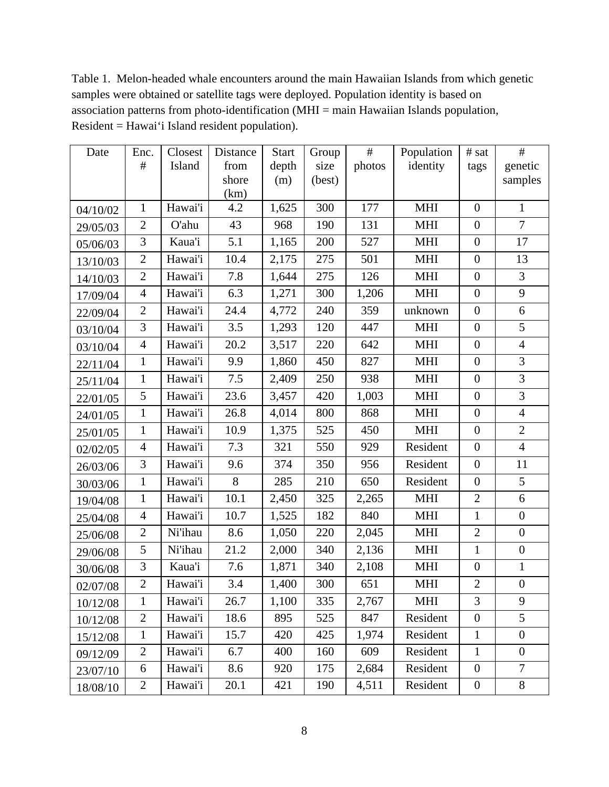Table 1. Melon-headed whale encounters around the main Hawaiian Islands from which genetic samples were obtained or satellite tags were deployed. Population identity is based on association patterns from photo-identification (MHI = main Hawaiian Islands population, Resident = Hawai'i Island resident population).

| Date     | Enc.           | Closest | Distance      | <b>Start</b> | Group  | $\#$   | Population | # sat            | $\#$             |
|----------|----------------|---------|---------------|--------------|--------|--------|------------|------------------|------------------|
|          | $\#$           | Island  | from          | depth        | size   | photos | identity   | tags             | genetic          |
|          |                |         | shore<br>(km) | (m)          | (best) |        |            |                  | samples          |
| 04/10/02 | $\mathbf{1}$   | Hawai'i | 4.2           | 1,625        | 300    | 177    | <b>MHI</b> | $\overline{0}$   | $\mathbf{1}$     |
| 29/05/03 | $\overline{2}$ | O'ahu   | 43            | 968          | 190    | 131    | <b>MHI</b> | $\overline{0}$   | $\overline{7}$   |
| 05/06/03 | 3              | Kaua'i  | 5.1           | 1,165        | 200    | 527    | <b>MHI</b> | $\boldsymbol{0}$ | 17               |
| 13/10/03 | $\overline{2}$ | Hawai'i | 10.4          | 2,175        | 275    | 501    | <b>MHI</b> | $\overline{0}$   | 13               |
| 14/10/03 | $\overline{2}$ | Hawai'i | 7.8           | 1,644        | 275    | 126    | <b>MHI</b> | $\overline{0}$   | 3                |
| 17/09/04 | $\overline{4}$ | Hawai'i | 6.3           | 1,271        | 300    | 1,206  | <b>MHI</b> | $\mathbf{0}$     | 9                |
| 22/09/04 | $\overline{2}$ | Hawai'i | 24.4          | 4,772        | 240    | 359    | unknown    | $\mathbf{0}$     | 6                |
| 03/10/04 | 3              | Hawai'i | 3.5           | 1,293        | 120    | 447    | <b>MHI</b> | $\boldsymbol{0}$ | 5                |
| 03/10/04 | $\overline{4}$ | Hawai'i | 20.2          | 3,517        | 220    | 642    | <b>MHI</b> | $\overline{0}$   | $\overline{4}$   |
| 22/11/04 | $\mathbf{1}$   | Hawai'i | 9.9           | 1,860        | 450    | 827    | <b>MHI</b> | $\boldsymbol{0}$ | 3                |
| 25/11/04 | $\mathbf{1}$   | Hawai'i | 7.5           | 2,409        | 250    | 938    | <b>MHI</b> | $\boldsymbol{0}$ | 3                |
| 22/01/05 | 5              | Hawai'i | 23.6          | 3,457        | 420    | 1,003  | <b>MHI</b> | $\boldsymbol{0}$ | 3                |
| 24/01/05 | $\mathbf{1}$   | Hawai'i | 26.8          | 4,014        | 800    | 868    | <b>MHI</b> | $\boldsymbol{0}$ | $\overline{4}$   |
| 25/01/05 | $\mathbf{1}$   | Hawai'i | 10.9          | 1,375        | 525    | 450    | <b>MHI</b> | $\boldsymbol{0}$ | $\mathbf{2}$     |
| 02/02/05 | $\overline{4}$ | Hawai'i | 7.3           | 321          | 550    | 929    | Resident   | $\boldsymbol{0}$ | $\overline{4}$   |
| 26/03/06 | 3              | Hawai'i | 9.6           | 374          | 350    | 956    | Resident   | $\boldsymbol{0}$ | 11               |
| 30/03/06 | $\mathbf{1}$   | Hawai'i | 8             | 285          | 210    | 650    | Resident   | $\boldsymbol{0}$ | 5                |
| 19/04/08 | 1              | Hawai'i | 10.1          | 2,450        | 325    | 2,265  | <b>MHI</b> | $\overline{2}$   | 6                |
| 25/04/08 | $\overline{4}$ | Hawai'i | 10.7          | 1,525        | 182    | 840    | <b>MHI</b> | $\mathbf{1}$     | $\boldsymbol{0}$ |
| 25/06/08 | $\mathbf{2}$   | Ni'ihau | 8.6           | 1,050        | 220    | 2,045  | <b>MHI</b> | $\mathbf{2}$     | $\overline{0}$   |
| 29/06/08 | 5              | Ni'ihau | 21.2          | 2,000        | 340    | 2,136  | <b>MHI</b> | $\mathbf{1}$     | $\boldsymbol{0}$ |
| 30/06/08 | 3              | Kaua'i  | 7.6           | 1,871        | 340    | 2,108  | <b>MHI</b> | $\boldsymbol{0}$ | $\mathbf{1}$     |
| 02/07/08 | $\overline{2}$ | Hawai'i | 3.4           | 1,400        | 300    | 651    | <b>MHI</b> | $\overline{2}$   | $\boldsymbol{0}$ |
| 10/12/08 | $\mathbf 1$    | Hawai'i | 26.7          | 1,100        | 335    | 2,767  | <b>MHI</b> | 3                | 9                |
| 10/12/08 | $\overline{2}$ | Hawai'i | 18.6          | 895          | 525    | 847    | Resident   | $\boldsymbol{0}$ | 5                |
| 15/12/08 | $\mathbf{1}$   | Hawai'i | 15.7          | 420          | 425    | 1,974  | Resident   | $\mathbf{1}$     | $\boldsymbol{0}$ |
| 09/12/09 | $\mathbf{2}$   | Hawai'i | 6.7           | 400          | 160    | 609    | Resident   | $\mathbf{1}$     | $\boldsymbol{0}$ |
| 23/07/10 | 6              | Hawai'i | 8.6           | 920          | 175    | 2,684  | Resident   | $\boldsymbol{0}$ | 7                |
| 18/08/10 | $\overline{2}$ | Hawai'i | 20.1          | 421          | 190    | 4,511  | Resident   | $\boldsymbol{0}$ | 8                |